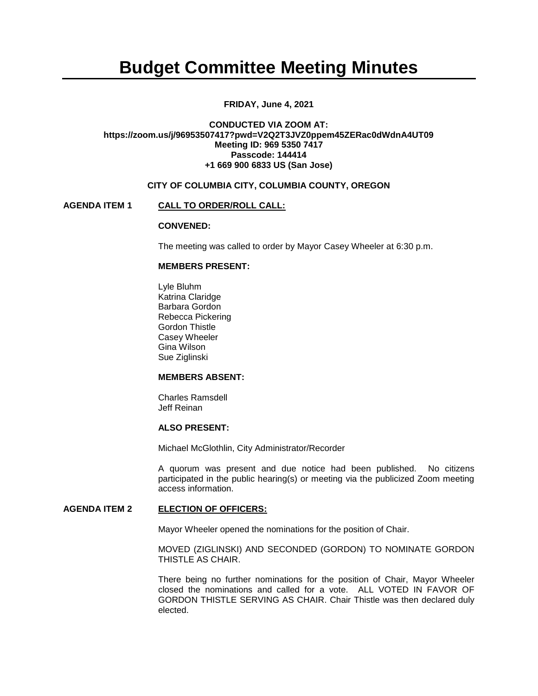# **Budget Committee Meeting Minutes**

## **FRIDAY, June 4, 2021**

## **CONDUCTED VIA ZOOM AT: https://zoom.us/j/96953507417?pwd=V2Q2T3JVZ0ppem45ZERac0dWdnA4UT09 Meeting ID: 969 5350 7417 Passcode: 144414 +1 669 900 6833 US (San Jose)**

## **CITY OF COLUMBIA CITY, COLUMBIA COUNTY, OREGON**

#### **AGENDA ITEM 1 CALL TO ORDER/ROLL CALL:**

#### **CONVENED:**

The meeting was called to order by Mayor Casey Wheeler at 6:30 p.m.

## **MEMBERS PRESENT:**

Lyle Bluhm Katrina Claridge Barbara Gordon Rebecca Pickering Gordon Thistle Casey Wheeler Gina Wilson Sue Ziglinski

## **MEMBERS ABSENT:**

Charles Ramsdell Jeff Reinan

#### **ALSO PRESENT:**

Michael McGlothlin, City Administrator/Recorder

A quorum was present and due notice had been published. No citizens participated in the public hearing(s) or meeting via the publicized Zoom meeting access information.

## **AGENDA ITEM 2 ELECTION OF OFFICERS:**

Mayor Wheeler opened the nominations for the position of Chair.

MOVED (ZIGLINSKI) AND SECONDED (GORDON) TO NOMINATE GORDON THISTLE AS CHAIR.

There being no further nominations for the position of Chair, Mayor Wheeler closed the nominations and called for a vote. ALL VOTED IN FAVOR OF GORDON THISTLE SERVING AS CHAIR. Chair Thistle was then declared duly elected.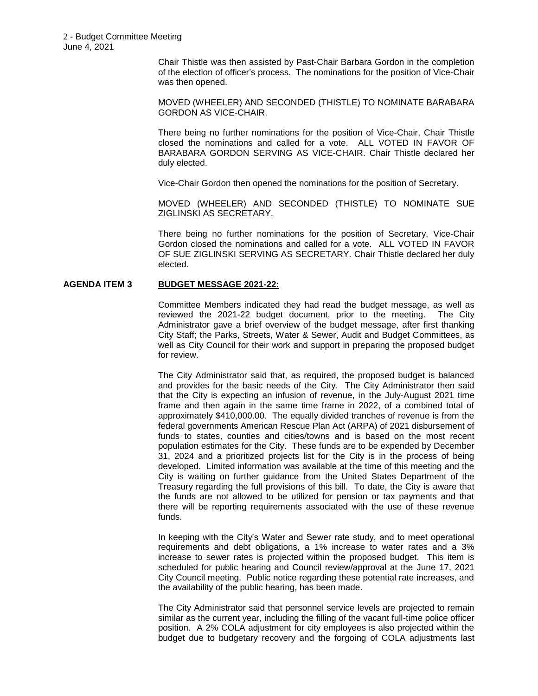Chair Thistle was then assisted by Past-Chair Barbara Gordon in the completion of the election of officer's process. The nominations for the position of Vice-Chair was then opened.

MOVED (WHEELER) AND SECONDED (THISTLE) TO NOMINATE BARABARA GORDON AS VICE-CHAIR.

There being no further nominations for the position of Vice-Chair, Chair Thistle closed the nominations and called for a vote. ALL VOTED IN FAVOR OF BARABARA GORDON SERVING AS VICE-CHAIR. Chair Thistle declared her duly elected.

Vice-Chair Gordon then opened the nominations for the position of Secretary.

MOVED (WHEELER) AND SECONDED (THISTLE) TO NOMINATE SUE ZIGLINSKI AS SECRETARY.

There being no further nominations for the position of Secretary, Vice-Chair Gordon closed the nominations and called for a vote. ALL VOTED IN FAVOR OF SUE ZIGLINSKI SERVING AS SECRETARY. Chair Thistle declared her duly elected.

## **AGENDA ITEM 3 BUDGET MESSAGE 2021-22:**

Committee Members indicated they had read the budget message, as well as reviewed the 2021-22 budget document, prior to the meeting. The City Administrator gave a brief overview of the budget message, after first thanking City Staff; the Parks, Streets, Water & Sewer, Audit and Budget Committees, as well as City Council for their work and support in preparing the proposed budget for review.

The City Administrator said that, as required, the proposed budget is balanced and provides for the basic needs of the City. The City Administrator then said that the City is expecting an infusion of revenue, in the July-August 2021 time frame and then again in the same time frame in 2022, of a combined total of approximately \$410,000.00. The equally divided tranches of revenue is from the federal governments American Rescue Plan Act (ARPA) of 2021 disbursement of funds to states, counties and cities/towns and is based on the most recent population estimates for the City. These funds are to be expended by December 31, 2024 and a prioritized projects list for the City is in the process of being developed. Limited information was available at the time of this meeting and the City is waiting on further guidance from the United States Department of the Treasury regarding the full provisions of this bill. To date, the City is aware that the funds are not allowed to be utilized for pension or tax payments and that there will be reporting requirements associated with the use of these revenue funds.

In keeping with the City's Water and Sewer rate study, and to meet operational requirements and debt obligations, a 1% increase to water rates and a 3% increase to sewer rates is projected within the proposed budget. This item is scheduled for public hearing and Council review/approval at the June 17, 2021 City Council meeting. Public notice regarding these potential rate increases, and the availability of the public hearing, has been made.

The City Administrator said that personnel service levels are projected to remain similar as the current year, including the filling of the vacant full-time police officer position. A 2% COLA adjustment for city employees is also projected within the budget due to budgetary recovery and the forgoing of COLA adjustments last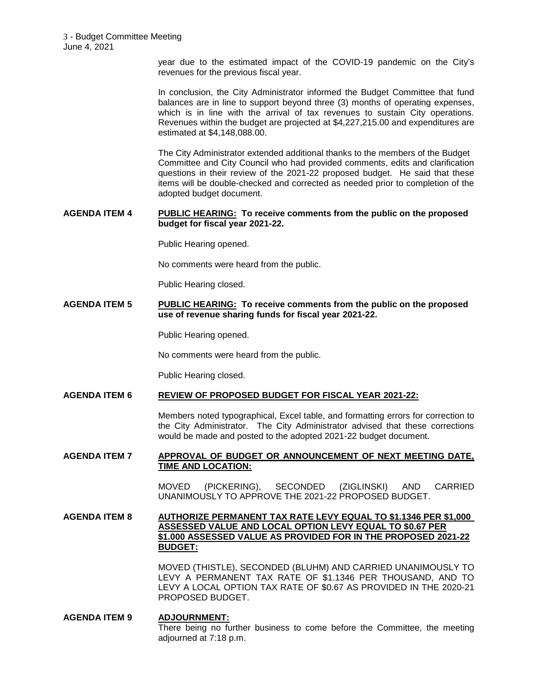year due to the estimated impact of the COVID-19 pandemic on the City's revenues for the previous fiscal year.

In conclusion, the City Administrator informed the Budget Committee that fund balances are in line to support beyond three (3) months of operating expenses, which is in line with the arrival of tax revenues to sustain City operations. Revenues within the budget are projected at \$4,227,215.00 and expenditures are estimated at \$4,148,088.00.

The City Administrator extended additional thanks to the members of the Budget Committee and City Council who had provided comments, edits and clarification questions in their review of the 2021-22 proposed budget. He said that these items will be double-checked and corrected as needed prior to completion of the adopted budget document.

#### **AGENDA ITEM 4 PUBLIC HEARING: To receive comments from the public on the proposed budget for fiscal year 2021-22.**

Public Hearing opened.

No comments were heard from the public.

Public Hearing closed.

**AGENDA ITEM 5 PUBLIC HEARING: To receive comments from the public on the proposed use of revenue sharing funds for fiscal year 2021-22.** 

Public Hearing opened.

No comments were heard from the public.

Public Hearing closed.

## **AGENDA ITEM 6 REVIEW OF PROPOSED BUDGET FOR FISCAL YEAR 2021-22:**

Members noted typographical, Excel table, and formatting errors for correction to the City Administrator. The City Administrator advised that these corrections would be made and posted to the adopted 2021-22 budget document.

#### **AGENDA ITEM 7 APPROVAL OF BUDGET OR ANNOUNCEMENT OF NEXT MEETING DATE, TIME AND LOCATION:**

MOVED (PICKERING), SECONDED (ZIGLINSKI) AND CARRIED UNANIMOUSLY TO APPROVE THE 2021-22 PROPOSED BUDGET.

## **AGENDA ITEM 8 AUTHORIZE PERMANENT TAX RATE LEVY EQUAL TO \$1.1346 PER \$1,000 ASSESSED VALUE AND LOCAL OPTION LEVY EQUAL TO \$0.67 PER \$1.000 ASSESSED VALUE AS PROVIDED FOR IN THE PROPOSED 2021-22 BUDGET:**

MOVED (THISTLE), SECONDED (BLUHM) AND CARRIED UNANIMOUSLY TO LEVY A PERMANENT TAX RATE OF \$1.1346 PER THOUSAND, AND TO LEVY A LOCAL OPTION TAX RATE OF \$0.67 AS PROVIDED IN THE 2020-21 PROPOSED BUDGET.

## **AGENDA ITEM 9 ADJOURNMENT:** There being no further business to come before the Committee, the meeting adjourned at 7:18 p.m.